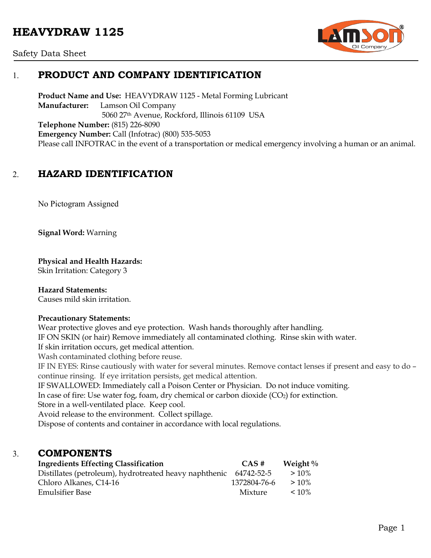# **HEAVYDRAW 1125**



#### Safety Data Sheet

# 1. **PRODUCT AND COMPANY IDENTIFICATION**

**Product Name and Use:** HEAVYDRAW 1125 - Metal Forming Lubricant **Manufacturer:** Lamson Oil Company 5060 27th Avenue, Rockford, Illinois 61109 USA **Telephone Number:** (815) 226-8090 **Emergency Number:** Call (Infotrac) (800) 535-5053 Please call INFOTRAC in the event of a transportation or medical emergency involving a human or an animal.

# 2. **HAZARD IDENTIFICATION**

No Pictogram Assigned

**Signal Word:** Warning

**Physical and Health Hazards:**

Skin Irritation: Category 3

### **Hazard Statements:**

Causes mild skin irritation.

#### **Precautionary Statements:**

Wear protective gloves and eye protection. Wash hands thoroughly after handling. IF ON SKIN (or hair) Remove immediately all contaminated clothing. Rinse skin with water. If skin irritation occurs, get medical attention.

Wash contaminated clothing before reuse.

IF IN EYES: Rinse cautiously with water for several minutes. Remove contact lenses if present and easy to do – continue rinsing. If eye irritation persists, get medical attention.

IF SWALLOWED: Immediately call a Poison Center or Physician. Do not induce vomiting.

In case of fire: Use water fog, foam, dry chemical or carbon dioxide  $(CO_2)$  for extinction.

Store in a well-ventilated place. Keep cool.

Avoid release to the environment. Collect spillage.

Dispose of contents and container in accordance with local regulations.

### 3. **COMPONENTS**

| <b>Ingredients Effecting Classification</b>                       | CAS#         | Weight $\%$ |
|-------------------------------------------------------------------|--------------|-------------|
| Distillates (petroleum), hydrotreated heavy naphthenic 64742-52-5 |              | $>10\%$     |
| Chloro Alkanes, C14-16                                            | 1372804-76-6 | $>10\%$     |
| <b>Emulsifier Base</b>                                            | Mixture      | $< 10\%$    |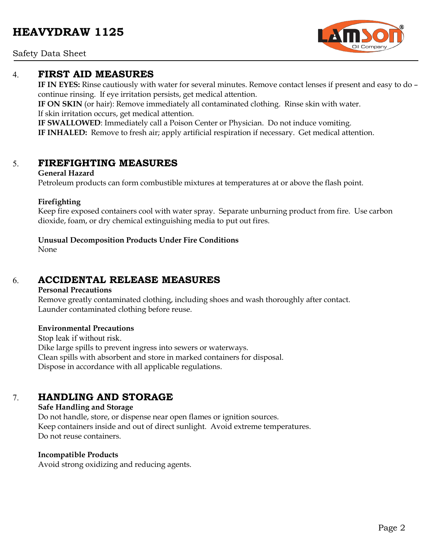### Safety Data Sheet

### 4. **FIRST AID MEASURES**

**IF IN EYES:** Rinse cautiously with water for several minutes. Remove contact lenses if present and easy to do – continue rinsing. If eye irritation persists, get medical attention.

**IF ON SKIN** (or hair): Remove immediately all contaminated clothing. Rinse skin with water. If skin irritation occurs, get medical attention.

**IF SWALLOWED**: Immediately call a Poison Center or Physician. Do not induce vomiting. **IF INHALED:** Remove to fresh air; apply artificial respiration if necessary. Get medical attention.

### 5. **FIREFIGHTING MEASURES**

#### **General Hazard**

Petroleum products can form combustible mixtures at temperatures at or above the flash point.

### **Firefighting**

Keep fire exposed containers cool with water spray. Separate unburning product from fire. Use carbon dioxide, foam, or dry chemical extinguishing media to put out fires.

### **Unusual Decomposition Products Under Fire Conditions**

None

# 6. **ACCIDENTAL RELEASE MEASURES**

#### **Personal Precautions**

Remove greatly contaminated clothing, including shoes and wash thoroughly after contact. Launder contaminated clothing before reuse.

#### **Environmental Precautions**

Stop leak if without risk. Dike large spills to prevent ingress into sewers or waterways. Clean spills with absorbent and store in marked containers for disposal. Dispose in accordance with all applicable regulations.

### 7. **HANDLING AND STORAGE**

#### **Safe Handling and Storage**

Do not handle, store, or dispense near open flames or ignition sources. Keep containers inside and out of direct sunlight. Avoid extreme temperatures. Do not reuse containers.

### **Incompatible Products**

Avoid strong oxidizing and reducing agents.

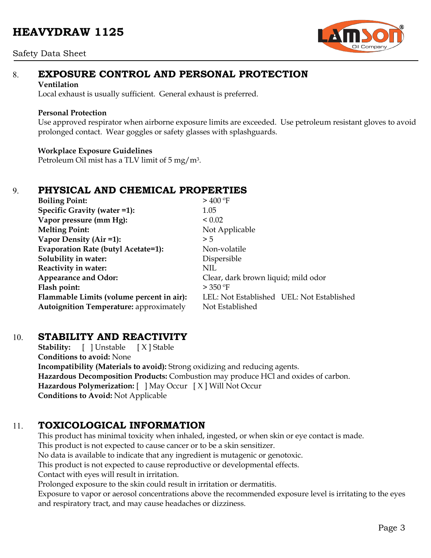# **HEAVYDRAW 1125**

#### Safety Data Sheet



# 8. **EXPOSURE CONTROL AND PERSONAL PROTECTION**

#### **Ventilation**

Local exhaust is usually sufficient. General exhaust is preferred.

### **Personal Protection**

Use approved respirator when airborne exposure limits are exceeded. Use petroleum resistant gloves to avoid prolonged contact. Wear goggles or safety glasses with splashguards.

### **Workplace Exposure Guidelines**

Petroleum Oil mist has a TLV limit of 5 mg/m3.

# 9. **PHYSICAL AND CHEMICAL PROPERTIES**

| <b>Boiling Point:</b>                          | $>$ 400 °F                                |  |
|------------------------------------------------|-------------------------------------------|--|
| Specific Gravity (water =1):                   | 1.05                                      |  |
| Vapor pressure (mm Hg):                        | ${}_{0.02}$                               |  |
| <b>Melting Point:</b>                          | Not Applicable                            |  |
| Vapor Density (Air =1):                        | > 5                                       |  |
| Evaporation Rate (butyl Acetate=1):            | Non-volatile                              |  |
| Solubility in water:                           | Dispersible                               |  |
| Reactivity in water:                           | NIL                                       |  |
| <b>Appearance and Odor:</b>                    | Clear, dark brown liquid; mild odor       |  |
| Flash point:                                   | > 350 °F                                  |  |
| Flammable Limits (volume percent in air):      | LEL: Not Established UEL: Not Established |  |
| <b>Autoignition Temperature: approximately</b> | Not Established                           |  |

### 10. **STABILITY AND REACTIVITY**

**Stability:** [ ] Unstable [ X ] Stable **Conditions to avoid:** None **Incompatibility (Materials to avoid):** Strong oxidizing and reducing agents. **Hazardous Decomposition Products:** Combustion may produce HCl and oxides of carbon. **Hazardous Polymerization:** [ ] May Occur [ X ] Will Not Occur **Conditions to Avoid:** Not Applicable

# 11. **TOXICOLOGICAL INFORMATION**

This product has minimal toxicity when inhaled, ingested, or when skin or eye contact is made. This product is not expected to cause cancer or to be a skin sensitizer. No data is available to indicate that any ingredient is mutagenic or genotoxic. This product is not expected to cause reproductive or developmental effects. Contact with eyes will result in irritation. Prolonged exposure to the skin could result in irritation or dermatitis.

Exposure to vapor or aerosol concentrations above the recommended exposure level is irritating to the eyes and respiratory tract, and may cause headaches or dizziness.